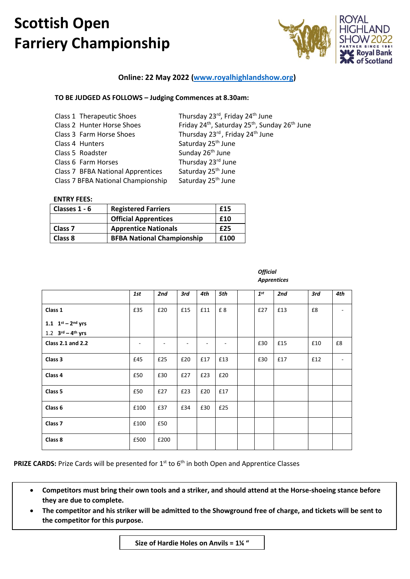

## **Online: 22 May 2022 [\(www.royalhighlandshow.org\)](http://www.royalhighlandshow.org/)**

## **TO BE JUDGED AS FOLLOWS – Judging Commences at 8.30am:**

| Class 1 Therapeutic Shoes          | Thursday 23rd, Friday 24th June                                                    |
|------------------------------------|------------------------------------------------------------------------------------|
| Class 2 Hunter Horse Shoes         | Friday 24 <sup>th</sup> , Saturday 25 <sup>th</sup> , Sunday 26 <sup>th</sup> June |
| Class 3 Farm Horse Shoes           | Thursday 23rd, Friday 24th June                                                    |
| Class 4 Hunters                    | Saturday 25 <sup>th</sup> June                                                     |
| Class 5 Roadster                   | Sunday 26 <sup>th</sup> June                                                       |
| Class 6 Farm Horses                | Thursday 23rd June                                                                 |
| Class 7 BFBA National Apprentices  | Saturday 25 <sup>th</sup> June                                                     |
| Class 7 BFBA National Championship | Saturday 25 <sup>th</sup> June                                                     |
|                                    |                                                                                    |

#### **ENTRY FEES:**

| Classes 1 - 6      | <b>Registered Farriers</b>        | £15  |
|--------------------|-----------------------------------|------|
|                    | <b>Official Apprentices</b>       | £10  |
| Class <sub>7</sub> | <b>Apprentice Nationals</b>       | £25  |
| Class 8            | <b>BFBA National Championship</b> | £100 |

|                           | 1st  | 2nd  | 3rd | 4th | 5th | $1^{st}$ | 2nd | 3rd | 4th                      |
|---------------------------|------|------|-----|-----|-----|----------|-----|-----|--------------------------|
| Class 1                   | £35  | £20  | £15 | £11 | £8  | £27      | £13 | £8  | $\overline{\phantom{a}}$ |
| 1.1 $1^{st} - 2^{nd}$ yrs |      |      |     |     |     |          |     |     |                          |
| 1.2 $3^{rd} - 4^{th}$ yrs |      |      |     |     |     |          |     |     |                          |
| <b>Class 2.1 and 2.2</b>  |      |      |     |     |     | £30      | £15 | £10 | £8                       |
| Class 3                   | £45  | £25  | £20 | £17 | £13 | £30      | £17 | £12 |                          |
| Class 4                   | £50  | £30  | £27 | £23 | £20 |          |     |     |                          |
| Class 5                   | £50  | £27  | £23 | £20 | £17 |          |     |     |                          |
| Class 6                   | £100 | £37  | £34 | £30 | £25 |          |     |     |                          |
| Class <sub>7</sub>        | £100 | £50  |     |     |     |          |     |     |                          |
| Class 8                   | £500 | £200 |     |     |     |          |     |     |                          |

*Official Apprentices*

**PRIZE CARDS:** Prize Cards will be presented for 1<sup>st</sup> to 6<sup>th</sup> in both Open and Apprentice Classes

- **Competitors must bring their own tools and a striker, and should attend at the Horse-shoeing stance before they are due to complete.**
- **The competitor and his striker will be admitted to the Showground free of charge, and tickets will be sent to the competitor for this purpose.**

**Size of Hardie Holes on Anvils = 1¼ "**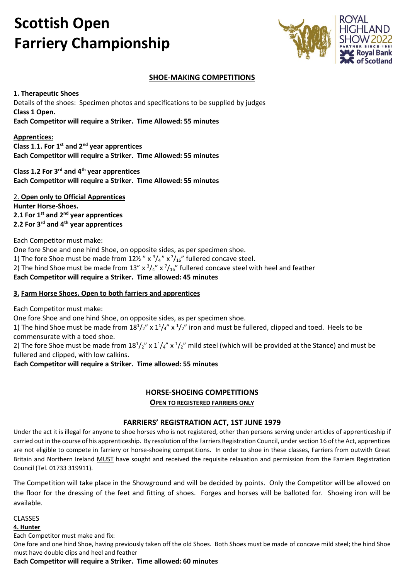

## **SHOE-MAKING COMPETITIONS**

**1. Therapeutic Shoes** Details of the shoes: Specimen photos and specifications to be supplied by judges **Class 1 Open. Each Competitor will require a Striker. Time Allowed: 55 minutes**

**Apprentices:**

**Class 1**.**1. For 1st and 2nd year apprentices Each Competitor will require a Striker. Time Allowed: 55 minutes**

**Class 1.2 For 3rd and 4th year apprentices Each Competitor will require a Striker. Time Allowed: 55 minutes**

2. **Open only to Official Apprentices Hunter Horse-Shoes. 2.1 For 1st and 2nd year apprentices 2.2 For 3rd and 4th year apprentices**

Each Competitor must make:

One fore Shoe and one hind Shoe, on opposite sides, as per specimen shoe. 1) The fore Shoe must be made from  $12\frac{1}{2}$  " x  $\frac{3}{4}$ " x  $\frac{7}{16}$ " fullered concave steel. 2) The hind Shoe must be made from 13" x  $\frac{3}{4}$ " x  $\frac{7}{16}$ " fullered concave steel with heel and feather **Each Competitor will require a Striker. Time allowed: 45 minutes**

## **3. Farm Horse Shoes. Open to both farriers and apprentices**

Each Competitor must make:

One fore Shoe and one hind Shoe, on opposite sides, as per specimen shoe.

1) The hind Shoe must be made from  $18^{1}/2''$  x  $1^{1}/4''$  x  $^{1}/2''$  iron and must be fullered, clipped and toed. Heels to be commensurate with a toed shoe.

2) The fore Shoe must be made from  $18^{1}/2''$  x  $1'/4''$  x  $^{1}/2''$  mild steel (which will be provided at the Stance) and must be fullered and clipped, with low calkins.

**Each Competitor will require a Striker. Time allowed: 55 minutes**

## **HORSE-SHOEING COMPETITIONS**

**OPEN TO REGISTERED FARRIERS ONLY**

## **FARRIERS' REGISTRATION ACT, 1ST JUNE 1979**

Under the act it is illegal for anyone to shoe horses who is not registered, other than persons serving under articles of apprenticeship if carried out in the course of his apprenticeship. By resolution of the Farriers Registration Council, under section 16 of the Act, apprentices are not eligible to compete in farriery or horse-shoeing competitions. In order to shoe in these classes, Farriers from outwith Great Britain and Northern Ireland MUST have sought and received the requisite relaxation and permission from the Farriers Registration Council (Tel. 01733 319911).

The Competition will take place in the Showground and will be decided by points. Only the Competitor will be allowed on the floor for the dressing of the feet and fitting of shoes. Forges and horses will be balloted for. Shoeing iron will be available.

CLASSES

**4. Hunter**

Each Competitor must make and fix:

One fore and one hind Shoe, having previously taken off the old Shoes. Both Shoes must be made of concave mild steel; the hind Shoe must have double clips and heel and feather

**Each Competitor will require a Striker. Time allowed: 60 minutes**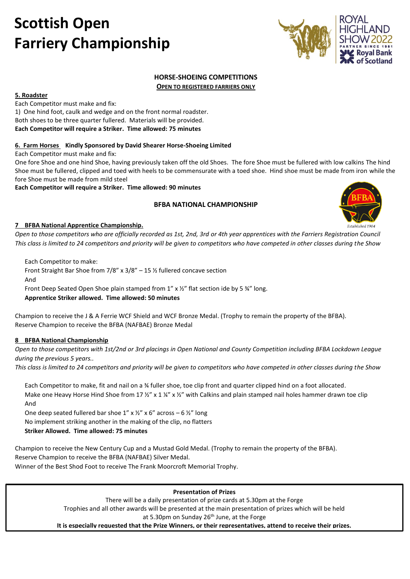

## **HORSE-SHOEING COMPETITIONS OPEN TO REGISTERED FARRIERS ONLY**

**5. Roadster** Each Competitor must make and fix: 1) One hind foot, caulk and wedge and on the front normal roadster. Both shoes to be three quarter fullered. Materials will be provided. **Each Competitor will require a Striker. Time allowed: 75 minutes**

### **6. Farm Horses Kindly Sponsored by David Shearer Horse-Shoeing Limited**

Each Competitor must make and fix:

One fore Shoe and one hind Shoe, having previously taken off the old Shoes. The fore Shoe must be fullered with low calkins The hind Shoe must be fullered, clipped and toed with heels to be commensurate with a toed shoe. Hind shoe must be made from iron while the fore Shoe must be made from mild steel

**Each Competitor will require a Striker. Time allowed: 90 minutes**

## **BFBA NATIONAL CHAMPIONSHIP**



## **7 BFBA National Apprentice Championship.**

*Open to those competitors who are officially recorded as 1st, 2nd, 3rd or 4th year apprentices with the Farriers Registration Council This class is limited to 24 competitors and priority will be given to competitors who have competed in other classes during the Show*

Each Competitor to make:

Front Straight Bar Shoe from 7/8" x 3/8" – 15 ½ fullered concave section And Front Deep Seated Open Shoe plain stamped from 1" x  $\frac{1}{2}$ " flat section ide by 5  $\frac{3}{4}$ " long.

**Apprentice Striker allowed. Time allowed: 50 minutes** 

Champion to receive the J & A Ferrie WCF Shield and WCF Bronze Medal. (Trophy to remain the property of the BFBA). Reserve Champion to receive the BFBA (NAFBAE) Bronze Medal

## **8 BFBA National Championship**

*Open to those competitors with 1st/2nd or 3rd placings in Open National and County Competition including BFBA Lockdown League during the previous 5 years..*

*This class is limited to 24 competitors and priority will be given to competitors who have competed in other classes during the Show*

Each Competitor to make, fit and nail on a ¾ fuller shoe, toe clip front and quarter clipped hind on a foot allocated. Make one Heavy Horse Hind Shoe from 17 %" x 1 %" x %" with Calkins and plain stamped nail holes hammer drawn toe clip And

One deep seated fullered bar shoe 1" x  $\frac{1}{2}$ " x 6" across – 6  $\frac{1}{2}$ " long No implement striking another in the making of the clip, no flatters **Striker Allowed. Time allowed: 75 minutes**

Champion to receive the New Century Cup and a Mustad Gold Medal. (Trophy to remain the property of the BFBA). Reserve Champion to receive the BFBA (NAFBAE) Silver Medal. Winner of the Best Shod Foot to receive The Frank Moorcroft Memorial Trophy.

## **Presentation of Prizes**

There will be a daily presentation of prize cards at 5.30pm at the Forge Trophies and all other awards will be presented at the main presentation of prizes which will be held at 5.30pm on Sunday 26<sup>th</sup> June, at the Forge

**It is especially requested that the Prize Winners, or their representatives, attend to receive their prizes.**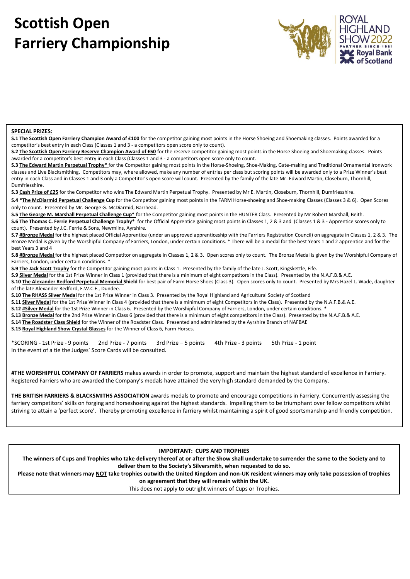

#### **SPECIAL PRIZES:**

**S.1 The Scottish Open Farriery Champion Award of £100** for the competitor gaining most points in the Horse Shoeing and Shoemaking classes. Points awarded for a competitor's best entry in each Class (Classes 1 and 3 - a competitors open score only to count).

**S.2 The Scottish Open Farriery Reserve Champion Award of £50** for the reserve competitor gaining most points in the Horse Shoeing and Shoemaking classes. Points awarded for a competitor's best entry in each Class (Classes 1 and 3 - a competitors open score only to count.

**S.3 The Edward Martin Perpetual Trophy\*** for the Competitor gaining most points in the Horse-Shoeing, Shoe-Making, Gate-making and Traditional Ornamental Ironwork classes and Live Blacksmithing. Competitors may, where allowed, make any number of entries per class but scoring points will be awarded only to a Prize Winner's best entry in each Class and in Classes 1 and 3 only a Competitor's open score will count. Presented by the family of the late Mr. Edward Martin, Closeburn, Thornhill, Dumfriesshire.

**S.3 Cash Prize of £25** for the Competitor who wins The Edward Martin Perpetual Trophy. Presented by Mr E. Martin, Closeburn, Thornhill, Dumfriesshire.

**S.4 \*The McDiarmid Perpetual Challenge Cup** for the Competitor gaining most points in the FARM Horse-shoeing and Shoe-making Classes (Classes 3 & 6). Open Scores only to count. Presented by Mr. George G. McDiarmid, Barrhead.

**S.5 The George M. Marshall Perpetual Challenge Cup\*** for the Competitor gaining most points in the HUNTER Class. Presented by Mr Robert Marshall, Beith.

**S.6 The Thomas C. Ferrie Perpetual Challenge Trophy\*** for the Official Apprentice gaining most points in Classes 1, 2 & 3 and (Classes 1 & 3 - Apprentice scores only to count). Presented by J.C. Ferrie & Sons, Newmilns, Ayrshire.

**S.7 #Bronze Medal** for the highest placed Official Apprentice (under an approved apprenticeship with the Farriers Registration Council) on aggregate in Classes 1, 2 & 3. The Bronze Medal is given by the Worshipful Company of Farriers, London, under certain conditions. \* There will be a medal for the best Years 1 and 2 apprentice and for the best Years 3 and 4

**S.8 #Bronze Medal** for the highest placed Competitor on aggregate in Classes 1, 2 & 3. Open scores only to count. The Bronze Medal is given by the Worshipful Company of Farriers, London, under certain conditions. \*

**S.9 The Jack Scott Trophy** for the Competitor gaining most points in Class 1. Presented by the family of the late J. Scott, Kingskettle, Fife.

**S.9 Silver Medal** for the 1st Prize Winner in Class 1 (provided that there is a minimum of eight competitors in the Class). Presented by the N.A.F.B.& A.E.

**S.10 The Alexander Redford Perpetual Memorial Shield** for best pair of Farm Horse Shoes (Class 3). Open scores only to count. Presented by Mrs Hazel L. Wade, daughter of the late Alexander Redford, F.W.C.F., Dundee.

**S.10 The RHASS Silver Medal** for the 1st Prize Winner in Class 3. Presented by the Royal Highland and Agricultural Society of Scotland

**S.11 Silver Medal** for the 1st Prize Winner in Class 4 (provided that there is a minimum of eight Competitors in the Class). Presented by the N.A.F.B.& A.E.

**S.12 #Silver Medal** for the 1st Prize Winner in Class 6. Presented by the Worshipful Company of Farriers, London, under certain conditions. **\***

**S.13 Bronze Medal** for the 2nd Prize Winner in Class 6 (provided that there is a minimum of eight competitors in the Class). Presented by the N.A.F.B.& A.E.

**S.14 The Roadster Class Shield** for the Winner of the Roadster Class. Presented and administered by the Ayrshire Branch of NAFBAE

**S.15 Royal Highland Show Crystal Glasses** for the Winner of Class 6, Farm Horses.

\*SCORING - 1st Prize - 9 points 2nd Prize - 7 points 3rd Prize – 5 points 4th Prize - 3 points 5th Prize - 1 point In the event of a tie the Judges' Score Cards will be consulted.

**#THE WORSHIPFUL COMPANY OF FARRIERS** makes awards in order to promote, support and maintain the highest standard of excellence in Farriery. Registered Farriers who are awarded the Company's medals have attained the very high standard demanded by the Company.

**THE BRITISH FARRIERS & BLACKSMITHS ASSOCIATION** awards medals to promote and encourage competitions in Farriery. Concurrently assessing the farriery competitors' skills on forging and horseshoeing against the highest standards. Impelling them to be triumphant over fellow competitors whilst striving to attain a 'perfect score'. Thereby promoting excellence in farriery whilst maintaining a spirit of good sportsmanship and friendly competition.

#### **IMPORTANT: CUPS AND TROPHIES**

**The winners of Cups and Trophies who take delivery thereof at or after the Show shall undertake to surrender the same to the Society and to deliver them to the Society's Silversmith, when requested to do so.**

**Please note that winners may NOT take trophies outwith the United Kingdom and non-UK resident winners may only take possession of trophies on agreement that they will remain within the UK.**

This does not apply to outright winners of Cups or Trophies.